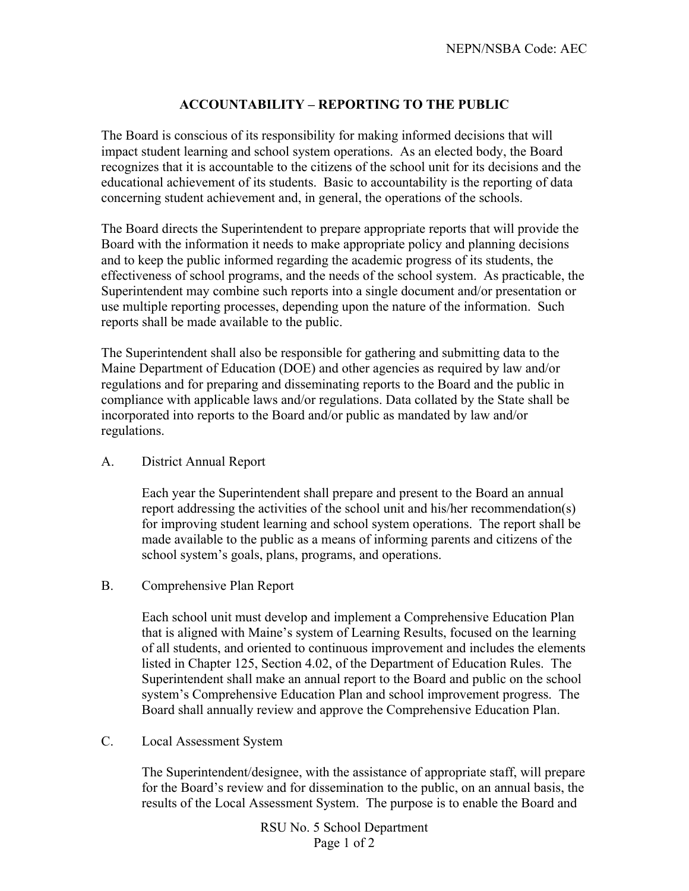## **ACCOUNTABILITY – REPORTING TO THE PUBLIC**

The Board is conscious of its responsibility for making informed decisions that will impact student learning and school system operations. As an elected body, the Board recognizes that it is accountable to the citizens of the school unit for its decisions and the educational achievement of its students. Basic to accountability is the reporting of data concerning student achievement and, in general, the operations of the schools.

The Board directs the Superintendent to prepare appropriate reports that will provide the Board with the information it needs to make appropriate policy and planning decisions and to keep the public informed regarding the academic progress of its students, the effectiveness of school programs, and the needs of the school system. As practicable, the Superintendent may combine such reports into a single document and/or presentation or use multiple reporting processes, depending upon the nature of the information. Such reports shall be made available to the public.

The Superintendent shall also be responsible for gathering and submitting data to the Maine Department of Education (DOE) and other agencies as required by law and/or regulations and for preparing and disseminating reports to the Board and the public in compliance with applicable laws and/or regulations. Data collated by the State shall be incorporated into reports to the Board and/or public as mandated by law and/or regulations.

## A. District Annual Report

Each year the Superintendent shall prepare and present to the Board an annual report addressing the activities of the school unit and his/her recommendation(s) for improving student learning and school system operations. The report shall be made available to the public as a means of informing parents and citizens of the school system's goals, plans, programs, and operations.

## B. Comprehensive Plan Report

Each school unit must develop and implement a Comprehensive Education Plan that is aligned with Maine's system of Learning Results, focused on the learning of all students, and oriented to continuous improvement and includes the elements listed in Chapter 125, Section 4.02, of the Department of Education Rules. The Superintendent shall make an annual report to the Board and public on the school system's Comprehensive Education Plan and school improvement progress. The Board shall annually review and approve the Comprehensive Education Plan.

## C. Local Assessment System

The Superintendent/designee, with the assistance of appropriate staff, will prepare for the Board's review and for dissemination to the public, on an annual basis, the results of the Local Assessment System. The purpose is to enable the Board and

> RSU No. 5 School Department Page 1 of 2